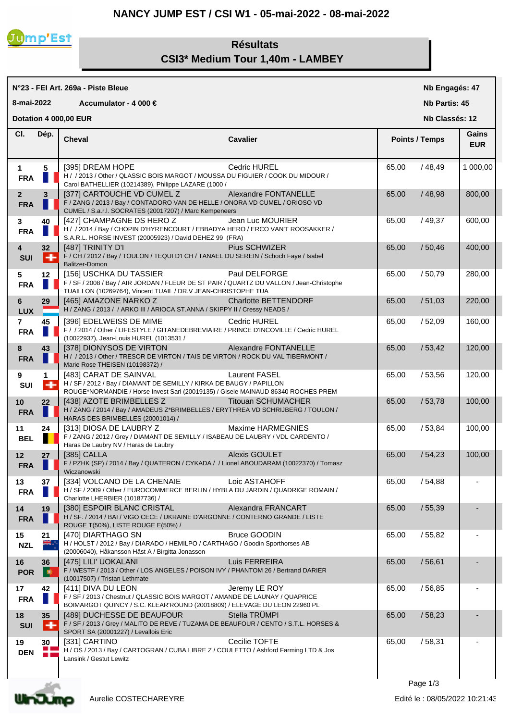## **NANCY JUMP EST / CSI W1 - 05-mai-2022 - 08-mai-2022**



## **Résultats CSI3\* Medium Tour 1,40m - LAMBEY**

| N°23 - FEI Art. 269a - Piste Bleue      |                      |                                                                                                                                                                                      |                             |                      | Nb Engagés: 47        |                     |  |
|-----------------------------------------|----------------------|--------------------------------------------------------------------------------------------------------------------------------------------------------------------------------------|-----------------------------|----------------------|-----------------------|---------------------|--|
| 8-mai-2022<br>Accumulator - 4 000 $\in$ |                      |                                                                                                                                                                                      |                             | <b>Nb Partis: 45</b> |                       |                     |  |
| Dotation 4 000,00 EUR<br>Nb Classés: 12 |                      |                                                                                                                                                                                      |                             |                      |                       |                     |  |
| CI.                                     | Dép.                 | <b>Cheval</b>                                                                                                                                                                        | <b>Cavalier</b>             |                      | <b>Points / Temps</b> | Gains<br><b>EUR</b> |  |
| $\mathbf 1$<br><b>FRA</b>               | 5                    | [395] DREAM HOPE<br>H / / 2013 / Other / QLASSIC BOIS MARGOT / MOUSSA DU FIGUIER / COOK DU MIDOUR /<br>Carol BATHELLIER (10214389), Philippe LAZARE (1000 /                          | Cedric HUREL                | 65,00                | /48,49                | 1 000,00            |  |
| $\mathbf{2}$<br><b>FRA</b>              | 3                    | [377] CARTOUCHE VD CUMEL Z<br>F / ZANG / 2013 / Bay / CONTADORO VAN DE HELLE / ONORA VD CUMEL / ORIOSO VD<br>CUMEL / S.a.r.l. SOCRATES (20017207) / Marc Kempeneers                  | Alexandre FONTANELLE        | 65,00                | / 48,98               | 800,00              |  |
| 3<br><b>FRA</b>                         | 40<br>Ш              | [427] CHAMPAGNE DS HERO Z<br>H / / 2014 / Bay / CHOPIN D'HYRENCOURT / EBBADYA HERO / ERCO VAN'T ROOSAKKER /<br>S.A.R.L. HORSE INVEST (20005923) / David DEHEZ 99 (FRA)               | Jean Luc MOURIER            | 65,00                | /49,37                | 600,00              |  |
| 4<br><b>SUI</b>                         | 32<br>÷              | [487] TRINITY D'I<br>F / CH / 2012 / Bay / TOULON / TEQUI D'I CH / TANAEL DU SEREIN / Schoch Faye / Isabel<br>Balitzer-Domon                                                         | Pius SCHWIZER               | 65,00                | /50,46                | 400,00              |  |
| 5<br><b>FRA</b>                         | 12<br>П              | [156] USCHKA DU TASSIER<br>F / SF / 2008 / Bay / AIR JORDAN / FLEUR DE ST PAIR / QUARTZ DU VALLON / Jean-Christophe<br>TUAILLON (10269764), Vincent TUAIL / DR.V JEAN-CHRISTOPHE TUA | Paul DELFORGE               | 65,00                | /50,79                | 280,00              |  |
| 6<br><b>LUX</b>                         | 29                   | [465] AMAZONE NARKO Z<br>H / ZANG / 2013 / / ARKO III / ARIOCA ST.ANNA / SKIPPY II / Cressy NEADS /                                                                                  | <b>Charlotte BETTENDORF</b> | 65,00                | /51,03                | 220,00              |  |
| $\overline{7}$<br><b>FRA</b>            | 45                   | [396] EDELWEISS DE MIME<br>F / / 2014 / Other / LIFESTYLE / GITANEDEBREVIAIRE / PRINCE D'INCOVILLE / Cedric HUREL<br>(10022937), Jean-Louis HUREL (1013531 /                         | Cedric HUREL                | 65,00                | /52,09                | 160,00              |  |
| 8<br><b>FRA</b>                         | 43                   | [378] DIONYSOS DE VIRTON<br>H / / 2013 / Other / TRESOR DE VIRTON / TAIS DE VIRTON / ROCK DU VAL TIBERMONT /<br>Marie Rose THEISEN (10198372) /                                      | Alexandre FONTANELLE        | 65,00                | /53,42                | 120,00              |  |
| 9<br>SUI                                | 1<br>$\ddot{}$       | [483] CARAT DE SAINVAL<br>H / SF / 2012 / Bay / DIAMANT DE SEMILLY / KIRKA DE BAUGY / PAPILLON<br>ROUGE*NORMANDIE / Horse Invest Sarl (20019135) / Gisele MAINAUD 86340 ROCHES PREM  | <b>Laurent FASEL</b>        | 65,00                | /53,56                | 120,00              |  |
| 10<br><b>FRA</b>                        | 22                   | [438] AZOTE BRIMBELLES Z<br>H / ZANG / 2014 / Bay / AMADEUS Z*BRIMBELLES / ERYTHREA VD SCHRIJBERG / TOULON /<br>HARAS DES BRIMBELLES (20001014) /                                    | <b>Titouan SCHUMACHER</b>   | 65,00                | /53,78                | 100,00              |  |
| 11<br><b>BEL</b>                        | 24<br>П              | [313] DIOSA DE LAUBRY Z<br>F / ZANG / 2012 / Grey / DIAMANT DE SEMILLY / ISABEAU DE LAUBRY / VDL CARDENTO /<br>Haras De Laubry NV / Haras de Laubry                                  | Maxime HARMEGNIES           | 65,00                | /53,84                | 100,00              |  |
| 12<br><b>FRA</b>                        | 27                   | [385] CALLA<br>F / PZHK (SP) / 2014 / Bay / QUATERON / CYKADA / / Lionel ABOUDARAM (10022370) / Tomasz<br>Wiczanowski                                                                | Alexis GOULET               | 65,00                | /54,23                | 100,00              |  |
| 13<br><b>FRA</b>                        | 37                   | [334] VOLCANO DE LA CHENAIE<br>H / SF / 2009 / Other / EUROCOMMERCE BERLIN / HYBLA DU JARDIN / QUADRIGE ROMAIN /<br>Charlotte LHERBIER (10187736) /                                  | Loic ASTAHOFF               | 65,00                | /54,88                |                     |  |
| 14<br><b>FRA</b>                        | 19                   | [380] ESPOIR BLANC CRISTAL<br>H / SF. / 2014 / BAI / VIGO CECE / UKRAINE D'ARGONNE / CONTERNO GRANDE / LISTE<br>ROUGE T(50%), LISTE ROUGE E(50%) /                                   | Alexandra FRANCART          | 65,00                | /55,39                |                     |  |
| 15<br><b>NZL</b>                        | 21<br>₩.,            | [470] DIARTHAGO SN<br>H / HOLST / 2012 / Bay / DIARADO / HEMILPO / CARTHAGO / Goodin Sporthorses AB<br>(20006040), Håkansson Häst A / Birgitta Jonasson                              | <b>Bruce GOODIN</b>         | 65,00                | /55,82                |                     |  |
| 16<br><b>POR</b>                        | 36<br>E              | [475] LILI' UOKALANI<br>F / WESTF / 2013 / Other / LOS ANGELES / POISON IVY / PHANTOM 26 / Bertrand DARIER<br>(10017507) / Tristan Lethmate                                          | Luis FERREIRA               | 65,00                | /56,61                |                     |  |
| 17<br><b>FRA</b>                        | 42                   | [411] DIVA DU LEON<br>F / SF / 2013 / Chestnut / QLASSIC BOIS MARGOT / AMANDE DE LAUNAY / QUAPRICE<br>BOIMARGOT QUINCY / S.C. KLEAR'ROUND (20018809) / ELEVAGE DU LEON 22960 PL      | Jeremy LE ROY               | 65,00                | /56,85                |                     |  |
| 18<br><b>SUI</b>                        | 35<br>l +            | [489] DUCHESSE DE BEAUFOUR<br>F / SF / 2013 / Grey / MALITO DE REVE / TUZAMA DE BEAUFOUR / CENTO / S.T.L. HORSES &<br>SPORT SA (20001227) / Levallois Eric                           | Stella TRÜMPI               | 65,00                | /58,23                |                     |  |
| 19<br><b>DEN</b>                        | 30<br>$\blacksquare$ | [331] CARTINO<br>H / OS / 2013 / Bay / CARTOGRAN / CUBA LIBRE Z / COULETTO / Ashford Farming LTD & Jos<br>Lansink / Gestut Lewitz                                                    | Cecilie TOFTE               | 65,00                | /58,31                |                     |  |
|                                         |                      |                                                                                                                                                                                      |                             |                      |                       |                     |  |



Aurelie COSTECHAREYRE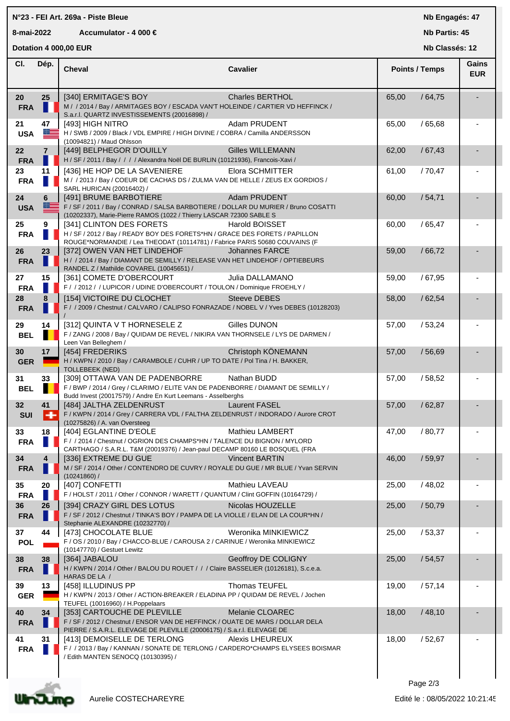## **N°23 - FEI Art. 269a - Piste Bleue**

## **8-mai-2022 Accumulator - 4 000 €**

**Nb Engagés: 47**

**Nb Partis: 45**

|                  | Dotation 4 000,00 EUR   |                                                                                                                                                          |                         |                       | Nb Classés: 12      |  |  |
|------------------|-------------------------|----------------------------------------------------------------------------------------------------------------------------------------------------------|-------------------------|-----------------------|---------------------|--|--|
| CI.              | Dép.                    | Cheval                                                                                                                                                   | <b>Cavalier</b>         | <b>Points / Temps</b> | Gains<br><b>EUR</b> |  |  |
| 20               | 25                      | [340] ERMITAGE'S BOY                                                                                                                                     | <b>Charles BERTHOL</b>  | 65,00                 | /64,75              |  |  |
| <b>FRA</b>       |                         | M / / 2014 / Bay / ARMITAGES BOY / ESCADA VAN'T HOLEINDE / CARTIER VD HEFFINCK /<br>S.a.r.l. QUARTZ INVESTISSEMENTS (20016898) /                         |                         |                       |                     |  |  |
| 21               | 47                      | [493] HIGH NITRO                                                                                                                                         | Adam PRUDENT            | 65,00                 | /65,68              |  |  |
| <b>USA</b>       | a a <del>com</del>      | H / SWB / 2009 / Black / VDL EMPIRE / HIGH DIVINE / COBRA / Camilla ANDERSSON                                                                            |                         |                       |                     |  |  |
| 22               | $\overline{7}$          | (10094821) / Maud Ohlsson<br>[449] BELPHEGOR D'OUILLY                                                                                                    | <b>Gilles WILLEMANN</b> | 62,00                 | /67,43              |  |  |
| <b>FRA</b>       |                         | H / SF / 2011 / Bay / / / / Alexandra Noël DE BURLIN (10121936), Francois-Xavi /                                                                         |                         |                       |                     |  |  |
| 23               | 11                      | [436] HE HOP DE LA SAVENIERE                                                                                                                             | Elora SCHMITTER         | 61,00                 | /70,47              |  |  |
| <b>FRA</b>       |                         | M / / 2013 / Bay / COEUR DE CACHAS DS / ZULMA VAN DE HELLE / ZEUS EX GORDIOS /                                                                           |                         |                       |                     |  |  |
| 24               | 6                       | SARL HURICAN (20016402) /<br>[491] BRUME BARBOTIERE                                                                                                      | Adam PRUDENT            | 60,00                 | /54,71              |  |  |
| <b>USA</b>       | 医三                      | F / SF / 2011 / Bay / CONRAD / SALSA BARBOTIERE / DOLLAR DU MURIER / Bruno COSATTI                                                                       |                         |                       |                     |  |  |
|                  |                         | (10202337), Marie-Pierre RAMOS (1022 / Thierry LASCAR 72300 SABLE S                                                                                      |                         |                       |                     |  |  |
| 25<br><b>FRA</b> | 9                       | [341] CLINTON DES FORETS<br>H / SF / 2012 / Bay / READY BOY DES FORETS*HN / GRACE DES FORETS / PAPILLON                                                  | <b>Harold BOISSET</b>   | 60,00                 | / 65,47             |  |  |
|                  |                         | ROUGE*NORMANDIE / Lea THEODAT (10114781) / Fabrice PARIS 50680 COUVAINS (F                                                                               |                         |                       |                     |  |  |
| 26               | 23                      | [372] OWEN VAN HET LINDEHOF                                                                                                                              | Johannes FARCE          | 59,00                 | /66,72              |  |  |
| <b>FRA</b>       |                         | H / / 2014 / Bay / DIAMANT DE SEMILLY / RELEASE VAN HET LINDEHOF / OPTIEBEURS<br>RANDEL Z / Mathilde COVAREL (10045651) /                                |                         |                       |                     |  |  |
| 27               | 15                      | [361] COMETE D'OBERCOURT                                                                                                                                 | Julia DALLAMANO         | 59,00                 | /67,95              |  |  |
| <b>FRA</b>       |                         | F / / 2012 / / LUPICOR / UDINE D'OBERCOURT / TOULON / Dominique FROEHLY /                                                                                |                         |                       |                     |  |  |
| 28               | 8                       | [154] VICTOIRE DU CLOCHET<br>F / / 2009 / Chestnut / CALVARO / CALIPSO FONRAZADE / NOBEL V / Yves DEBES (10128203)                                       | <b>Steeve DEBES</b>     | 58,00                 | /62,54              |  |  |
| <b>FRA</b>       |                         |                                                                                                                                                          |                         |                       |                     |  |  |
| 29               | 14                      | [312] QUINTA V T HORNESELE Z                                                                                                                             | Gilles DUNON            | 57,00                 | /53,24              |  |  |
| <b>BEL</b>       | П                       | F / ZANG / 2008 / Bay / QUIDAM DE REVEL / NIKIRA VAN THORNSELE / LYS DE DARMEN /<br>Leen Van Belleghem /                                                 |                         |                       |                     |  |  |
| 30               | 17                      | [454] FREDERIKS                                                                                                                                          | Christoph KÖNEMANN      | 57,00                 | /56,69              |  |  |
| <b>GER</b>       |                         | H / KWPN / 2010 / Bay / CARAMBOLE / CUHR / UP TO DATE / Pol Tina / H. BAKKER,                                                                            |                         |                       |                     |  |  |
| 31               | 33                      | <b>TOLLEBEEK (NED)</b><br>[309] OTTAWA VAN DE PADENBORRE                                                                                                 | Nathan BUDD             | 57,00                 | /58,52              |  |  |
| <b>BEL</b>       | п                       | F / BWP / 2014 / Grey / CLARIMO / ELITE VAN DE PADENBORRE / DIAMANT DE SEMILLY /                                                                         |                         |                       |                     |  |  |
|                  |                         | Budd Invest (20017579) / Andre En Kurt Leemans - Asselberghs                                                                                             |                         |                       |                     |  |  |
| 32<br><b>SUI</b> | 41<br>-                 | [484] JALTHA ZELDENRUST<br>F / KWPN / 2014 / Grey / CARRERA VDL / FALTHA ZELDENRUST / INDORADO / Aurore CROT                                             | <b>Laurent FASEL</b>    | 57,00                 | /62,87              |  |  |
|                  |                         | (10275826) / A. van Oversteeg                                                                                                                            |                         |                       |                     |  |  |
| 33               | 18                      | [404] EGLANTINE D'EOLE                                                                                                                                   | <b>Mathieu LAMBERT</b>  | 47,00                 | / 80,77             |  |  |
| <b>FRA</b>       |                         | F / / 2014 / Chestnut / OGRION DES CHAMPS*HN / TALENCE DU BIGNON / MYLORD<br>CARTHAGO / S.A.R.L. T&M (20019376) / Jean-paul DECAMP 80160 LE BOSQUEL (FRA |                         |                       |                     |  |  |
| 34               | $\overline{\mathbf{4}}$ | [336] EXTREME DU GUE                                                                                                                                     | <b>Vincent BARTIN</b>   | 46,00                 | /59,97              |  |  |
| <b>FRA</b>       |                         | M / SF / 2014 / Other / CONTENDRO DE CUVRY / ROYALE DU GUE / MR BLUE / Yvan SERVIN                                                                       |                         |                       |                     |  |  |
| 35               | 20                      | $(10241860)$ /<br>[407] CONFETTI                                                                                                                         | Mathieu LAVEAU          | 25,00                 | /48,02              |  |  |
| <b>FRA</b>       |                         | F / HOLST / 2011 / Other / CONNOR / WARETT / QUANTUM / Clint GOFFIN (10164729) /                                                                         |                         |                       |                     |  |  |
| 36               | 26                      | [394] CRAZY GIRL DES LOTUS                                                                                                                               | Nicolas HOUZELLE        | 25,00                 | /50,79              |  |  |
| <b>FRA</b>       |                         | F / SF / 2012 / Chestnut / TINKA'S BOY / PAMPA DE LA VIOLLE / ELAN DE LA COUR*HN /                                                                       |                         |                       |                     |  |  |
| 37               | 44                      | Stephanie ALEXANDRE (10232770) /<br>[473] CHOCOLATE BLUE                                                                                                 | Weronika MINKIEWICZ     | 25,00                 | /53,37              |  |  |
| <b>POL</b>       |                         | F / OS / 2010 / Bay / CHACCO-BLUE / CAROUSA 2 / CARINUE / Weronika MINKIEWICZ                                                                            |                         |                       |                     |  |  |
|                  | 38                      | (10147770) / Gestuet Lewitz<br>[364] JABALOU                                                                                                             | Geoffroy DE COLIGNY     | 25,00                 | /54,57              |  |  |
| 38<br><b>FRA</b> |                         | H / KWPN / 2014 / Other / BALOU DU ROUET / / / Claire BASSELIER (10126181), S.c.e.a.                                                                     |                         |                       |                     |  |  |
|                  |                         | HARAS DE LA /                                                                                                                                            |                         |                       |                     |  |  |
| 39               | 13                      | [458] ILLUDINUS PP<br>H / KWPN / 2013 / Other / ACTION-BREAKER / ELADINA PP / QUIDAM DE REVEL / Jochen                                                   | <b>Thomas TEUFEL</b>    | 19,00                 | /57,14              |  |  |
| <b>GER</b>       |                         | TEUFEL (10016960) / H. Poppelaars                                                                                                                        |                         |                       |                     |  |  |
| 40               | 34                      | [353] CARTOUCHE DE PLEVILLE                                                                                                                              | Melanie CLOAREC         | 18,00                 | /48,10              |  |  |
| <b>FRA</b>       |                         | F / SF / 2012 / Chestnut / ENSOR VAN DE HEFFINCK / OUATE DE MARS / DOLLAR DELA<br>PIERRE / S.A.R.L. ELEVAGE DE PLEVILLE (20006175) / S.a.r.I. ELEVAGE DE |                         |                       |                     |  |  |
| 41               | 31                      | [413] DEMOISELLE DE TERLONG                                                                                                                              | <b>Alexis LHEUREUX</b>  | 18,00                 | /52,67              |  |  |
| <b>FRA</b>       |                         | F / / 2013 / Bay / KANNAN / SONATE DE TERLONG / CARDERO*CHAMPS ELYSEES BOISMAR<br>/ Edith MANTEN SENOCQ (10130395) /                                     |                         |                       |                     |  |  |
|                  |                         |                                                                                                                                                          |                         |                       |                     |  |  |
|                  |                         |                                                                                                                                                          |                         |                       |                     |  |  |
|                  |                         |                                                                                                                                                          |                         | Page 2/3              |                     |  |  |